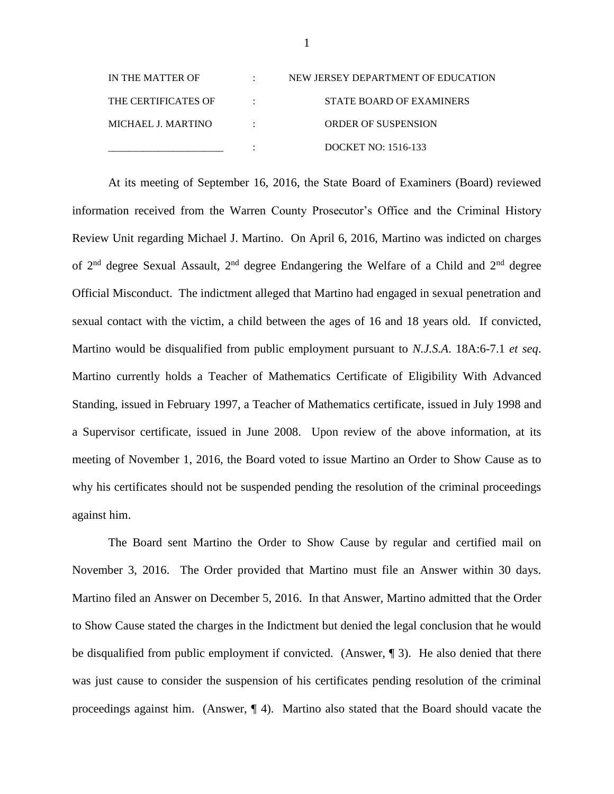| IN THE MATTER OF    | NEW JERSEY DEPARTMENT OF EDUCATION |
|---------------------|------------------------------------|
| THE CERTIFICATES OF | STATE BOARD OF EXAMINERS           |
| MICHAEL J. MARTINO  | <b>ORDER OF SUSPENSION</b>         |
|                     | DOCKET NO: 1516-133                |

At its meeting of September 16, 2016, the State Board of Examiners (Board) reviewed information received from the Warren County Prosecutor's Office and the Criminal History Review Unit regarding Michael J. Martino. On April 6, 2016, Martino was indicted on charges of  $2<sup>nd</sup>$  degree Sexual Assault,  $2<sup>nd</sup>$  degree Endangering the Welfare of a Child and  $2<sup>nd</sup>$  degree Official Misconduct. The indictment alleged that Martino had engaged in sexual penetration and sexual contact with the victim, a child between the ages of 16 and 18 years old. If convicted, Martino would be disqualified from public employment pursuant to *N.J.S.A*. 18A:6-7.1 *et seq*. Martino currently holds a Teacher of Mathematics Certificate of Eligibility With Advanced Standing, issued in February 1997, a Teacher of Mathematics certificate, issued in July 1998 and a Supervisor certificate, issued in June 2008. Upon review of the above information, at its meeting of November 1, 2016, the Board voted to issue Martino an Order to Show Cause as to why his certificates should not be suspended pending the resolution of the criminal proceedings against him.

The Board sent Martino the Order to Show Cause by regular and certified mail on November 3, 2016. The Order provided that Martino must file an Answer within 30 days. Martino filed an Answer on December 5, 2016. In that Answer, Martino admitted that the Order to Show Cause stated the charges in the Indictment but denied the legal conclusion that he would be disqualified from public employment if convicted. (Answer, ¶ 3). He also denied that there was just cause to consider the suspension of his certificates pending resolution of the criminal proceedings against him. (Answer, ¶ 4). Martino also stated that the Board should vacate the

1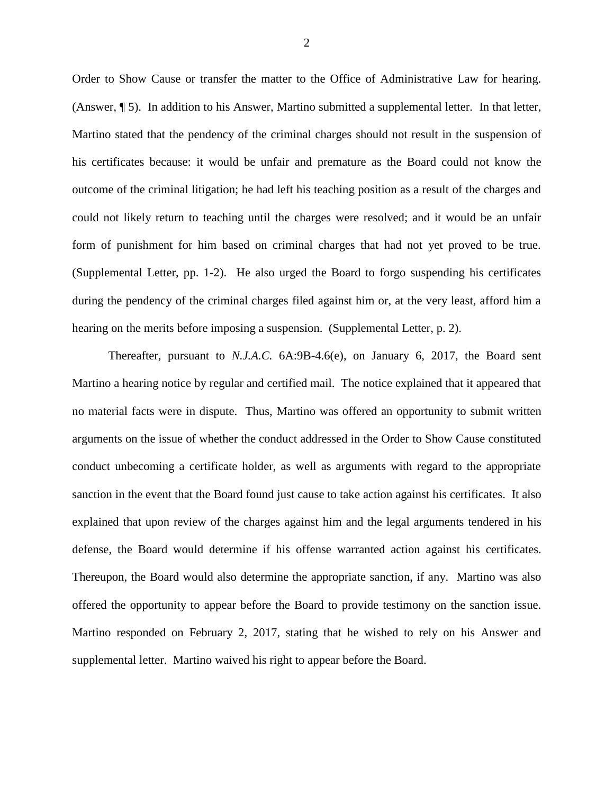Order to Show Cause or transfer the matter to the Office of Administrative Law for hearing. (Answer, ¶ 5). In addition to his Answer, Martino submitted a supplemental letter. In that letter, Martino stated that the pendency of the criminal charges should not result in the suspension of his certificates because: it would be unfair and premature as the Board could not know the outcome of the criminal litigation; he had left his teaching position as a result of the charges and could not likely return to teaching until the charges were resolved; and it would be an unfair form of punishment for him based on criminal charges that had not yet proved to be true. (Supplemental Letter, pp. 1-2). He also urged the Board to forgo suspending his certificates during the pendency of the criminal charges filed against him or, at the very least, afford him a hearing on the merits before imposing a suspension. (Supplemental Letter, p. 2).

Thereafter, pursuant to *N.J.A.C.* 6A:9B-4.6(e), on January 6, 2017, the Board sent Martino a hearing notice by regular and certified mail. The notice explained that it appeared that no material facts were in dispute. Thus, Martino was offered an opportunity to submit written arguments on the issue of whether the conduct addressed in the Order to Show Cause constituted conduct unbecoming a certificate holder, as well as arguments with regard to the appropriate sanction in the event that the Board found just cause to take action against his certificates. It also explained that upon review of the charges against him and the legal arguments tendered in his defense, the Board would determine if his offense warranted action against his certificates. Thereupon, the Board would also determine the appropriate sanction, if any. Martino was also offered the opportunity to appear before the Board to provide testimony on the sanction issue. Martino responded on February 2, 2017, stating that he wished to rely on his Answer and supplemental letter. Martino waived his right to appear before the Board.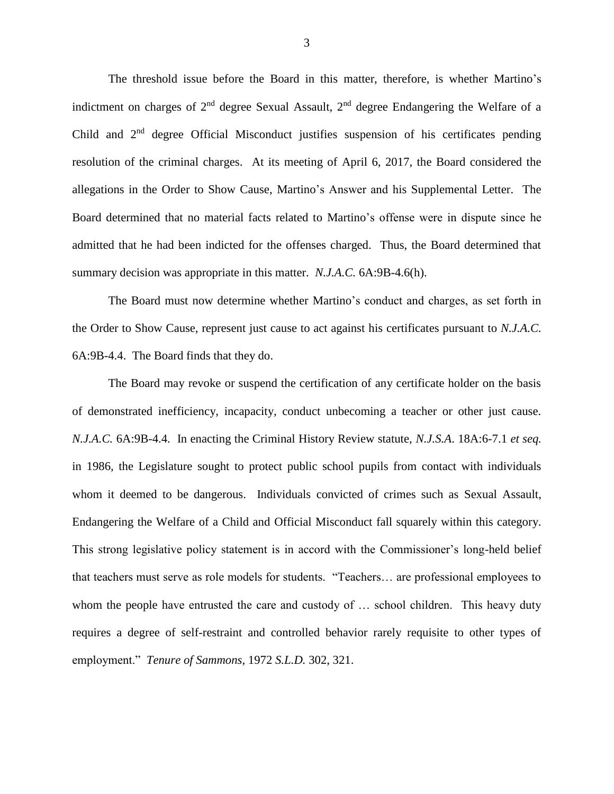The threshold issue before the Board in this matter, therefore, is whether Martino's indictment on charges of  $2<sup>nd</sup>$  degree Sexual Assault,  $2<sup>nd</sup>$  degree Endangering the Welfare of a Child and 2nd degree Official Misconduct justifies suspension of his certificates pending resolution of the criminal charges. At its meeting of April 6, 2017, the Board considered the allegations in the Order to Show Cause, Martino's Answer and his Supplemental Letter. The Board determined that no material facts related to Martino's offense were in dispute since he admitted that he had been indicted for the offenses charged. Thus, the Board determined that summary decision was appropriate in this matter. *N.J.A.C.* 6A:9B-4.6(h).

The Board must now determine whether Martino's conduct and charges, as set forth in the Order to Show Cause, represent just cause to act against his certificates pursuant to *N.J.A.C.* 6A:9B-4.4. The Board finds that they do.

The Board may revoke or suspend the certification of any certificate holder on the basis of demonstrated inefficiency, incapacity, conduct unbecoming a teacher or other just cause. *N.J.A.C.* 6A:9B-4.4. In enacting the Criminal History Review statute, *N.J.S.A*. 18A:6-7.1 *et seq.* in 1986*,* the Legislature sought to protect public school pupils from contact with individuals whom it deemed to be dangerous. Individuals convicted of crimes such as Sexual Assault, Endangering the Welfare of a Child and Official Misconduct fall squarely within this category. This strong legislative policy statement is in accord with the Commissioner's long-held belief that teachers must serve as role models for students. "Teachers… are professional employees to whom the people have entrusted the care and custody of ... school children. This heavy duty requires a degree of self-restraint and controlled behavior rarely requisite to other types of employment." *Tenure of Sammons*, 1972 *S.L.D.* 302, 321.